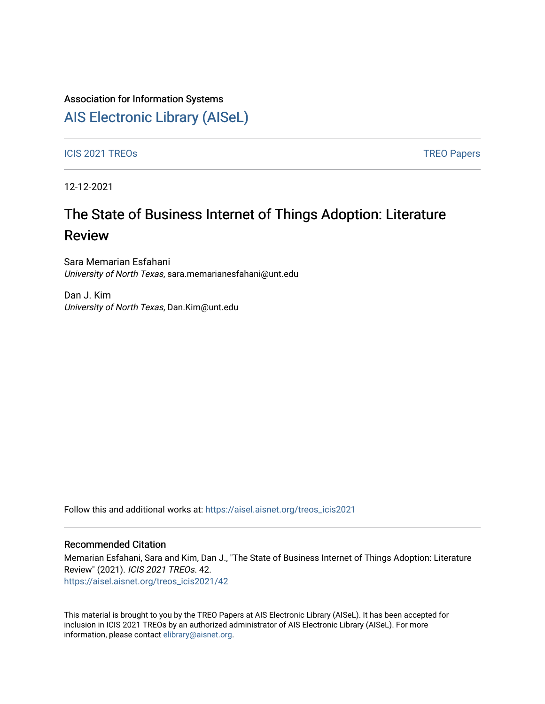#### Association for Information Systems

## [AIS Electronic Library \(AISeL\)](https://aisel.aisnet.org/)

ICIS 2021 TREOS Notes that the contract of the contract of the contract of the contract of the contract of the contract of the contract of the contract of the contract of the contract of the contract of the contract of the

12-12-2021

# The State of Business Internet of Things Adoption: Literature Review

Sara Memarian Esfahani University of North Texas, sara.memarianesfahani@unt.edu

Dan J. Kim University of North Texas, Dan.Kim@unt.edu

Follow this and additional works at: [https://aisel.aisnet.org/treos\\_icis2021](https://aisel.aisnet.org/treos_icis2021?utm_source=aisel.aisnet.org%2Ftreos_icis2021%2F42&utm_medium=PDF&utm_campaign=PDFCoverPages) 

#### Recommended Citation

Memarian Esfahani, Sara and Kim, Dan J., "The State of Business Internet of Things Adoption: Literature Review" (2021). ICIS 2021 TREOs. 42.

[https://aisel.aisnet.org/treos\\_icis2021/42](https://aisel.aisnet.org/treos_icis2021/42?utm_source=aisel.aisnet.org%2Ftreos_icis2021%2F42&utm_medium=PDF&utm_campaign=PDFCoverPages) 

This material is brought to you by the TREO Papers at AIS Electronic Library (AISeL). It has been accepted for inclusion in ICIS 2021 TREOs by an authorized administrator of AIS Electronic Library (AISeL). For more information, please contact [elibrary@aisnet.org.](mailto:elibrary@aisnet.org%3E)